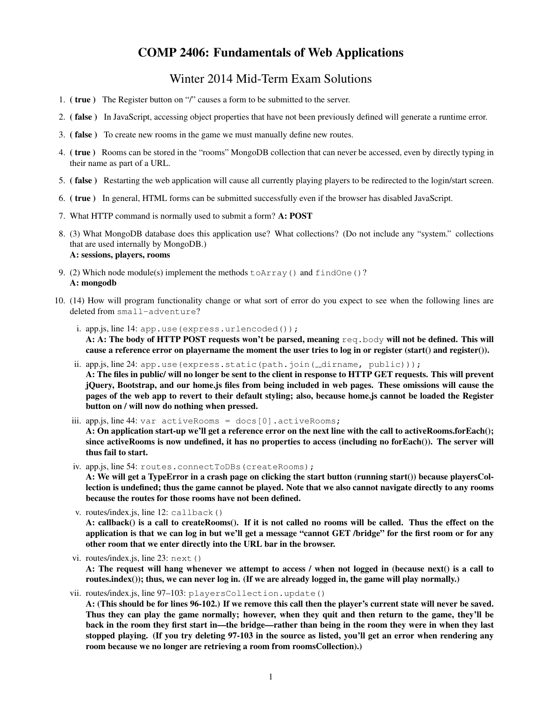# COMP 2406: Fundamentals of Web Applications

# Winter 2014 Mid-Term Exam Solutions

- 1. ( true ) The Register button on "/" causes a form to be submitted to the server.
- 2. ( false ) In JavaScript, accessing object properties that have not been previously defined will generate a runtime error.
- 3. ( false ) To create new rooms in the game we must manually define new routes.
- 4. ( true ) Rooms can be stored in the "rooms" MongoDB collection that can never be accessed, even by directly typing in their name as part of a URL.
- 5. ( false ) Restarting the web application will cause all currently playing players to be redirected to the login/start screen.
- 6. ( true ) In general, HTML forms can be submitted successfully even if the browser has disabled JavaScript.
- 7. What HTTP command is normally used to submit a form? A: POST
- 8. (3) What MongoDB database does this application use? What collections? (Do not include any "system." collections that are used internally by MongoDB.) A: sessions, players, rooms
- 9. (2) Which node module(s) implement the methods  $\text{toArray}$  () and  $\text{findOne}$  ()? A: mongodb
- 10. (14) How will program functionality change or what sort of error do you expect to see when the following lines are deleted from small-adventure?
	- i. app.js, line 14: app.use (express.urlencoded()); A: A: The body of HTTP POST requests won't be parsed, meaning req.body will not be defined. This will cause a reference error on playername the moment the user tries to log in or register (start() and register()).
	- ii. app.js, line 24: app.use(express.static(path.join( \_\_dirname, public))); A: The files in public/ will no longer be sent to the client in response to HTTP GET requests. This will prevent jQuery, Bootstrap, and our home.js files from being included in web pages. These omissions will cause the pages of the web app to revert to their default styling; also, because home.js cannot be loaded the Register button on / will now do nothing when pressed.
	- iii. app.js, line 44: var activeRooms = docs[0].activeRooms; A: On application start-up we'll get a reference error on the next line with the call to activeRooms.forEach(); since activeRooms is now undefined, it has no properties to access (including no forEach()). The server will thus fail to start.
	- iv. app.js, line 54: routes.connectToDBs(createRooms);

A: We will get a TypeError in a crash page on clicking the start button (running start()) because playersCollection is undefined; thus the game cannot be played. Note that we also cannot navigate directly to any rooms because the routes for those rooms have not been defined.

v. routes/index.js, line 12: callback()

A: callback() is a call to createRooms(). If it is not called no rooms will be called. Thus the effect on the application is that we can log in but we'll get a message "cannot GET /bridge" for the first room or for any other room that we enter directly into the URL bar in the browser.

- vi. routes/index.js, line 23: next() A: The request will hang whenever we attempt to access / when not logged in (because next() is a call to routes.index()); thus, we can never log in. (If we are already logged in, the game will play normally.)
- vii. routes/index.js, line 97–103: playersCollection.update()

A: (This should be for lines 96-102.) If we remove this call then the player's current state will never be saved. Thus they can play the game normally; however, when they quit and then return to the game, they'll be back in the room they first start in—the bridge—rather than being in the room they were in when they last stopped playing. (If you try deleting 97-103 in the source as listed, you'll get an error when rendering any room because we no longer are retrieving a room from roomsCollection).)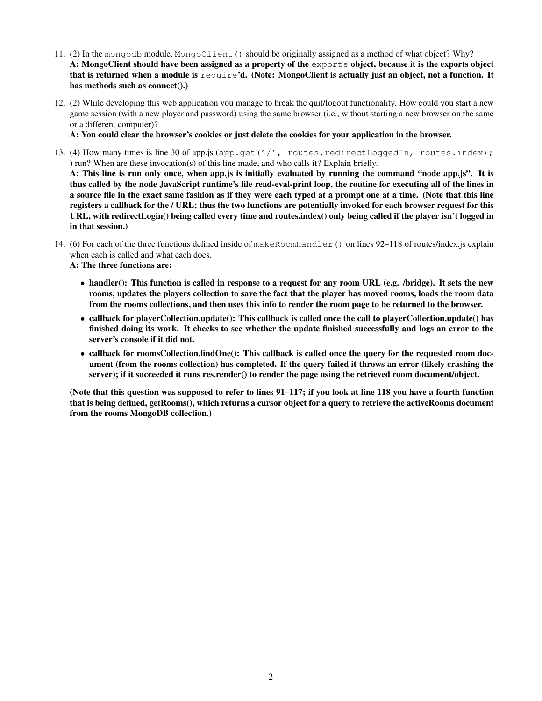- 11. (2) In the mongodb module, MongoClient() should be originally assigned as a method of what object? Why? A: MongoClient should have been assigned as a property of the exports object, because it is the exports object that is returned when a module is  $\text{require'}d$ . (Note: MongoClient is actually just an object, not a function. It has methods such as connect().)
- 12. (2) While developing this web application you manage to break the quit/logout functionality. How could you start a new game session (with a new player and password) using the same browser (i.e., without starting a new browser on the same or a different computer)?

A: You could clear the browser's cookies or just delete the cookies for your application in the browser.

- 13. (4) How many times is line 30 of app.js (app.get('/', routes.redirectLoggedIn, routes.index); ) run? When are these invocation(s) of this line made, and who calls it? Explain briefly. A: This line is run only once, when app.js is initially evaluated by running the command "node app.js". It is thus called by the node JavaScript runtime's file read-eval-print loop, the routine for executing all of the lines in a source file in the exact same fashion as if they were each typed at a prompt one at a time. (Note that this line registers a callback for the / URL; thus the two functions are potentially invoked for each browser request for this URL, with redirectLogin() being called every time and routes.index() only being called if the player isn't logged in in that session.)
- 14. (6) For each of the three functions defined inside of makeRoomHandler() on lines 92–118 of routes/index.js explain when each is called and what each does.

A: The three functions are:

- handler(): This function is called in response to a request for any room URL (e.g. /bridge). It sets the new rooms, updates the players collection to save the fact that the player has moved rooms, loads the room data from the rooms collections, and then uses this info to render the room page to be returned to the browser.
- callback for playerCollection.update(): This callback is called once the call to playerCollection.update() has finished doing its work. It checks to see whether the update finished successfully and logs an error to the server's console if it did not.
- callback for roomsCollection.findOne(): This callback is called once the query for the requested room document (from the rooms collection) has completed. If the query failed it throws an error (likely crashing the server); if it succeeded it runs res.render() to render the page using the retrieved room document/object.

(Note that this question was supposed to refer to lines 91–117; if you look at line 118 you have a fourth function that is being defined, getRooms(), which returns a cursor object for a query to retrieve the activeRooms document from the rooms MongoDB collection.)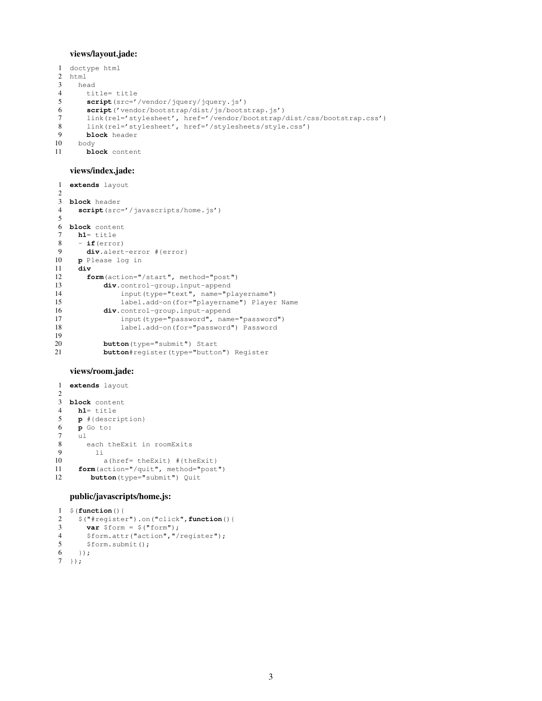## views/layout.jade:

```
1 doctype html
\begin{array}{cc} 2 & \text{html} \\ 3 & \text{hei} \end{array}head
4 title= title<br>5 script(src='
        5 script(src='/vendor/jquery/jquery.js')
6 script('vendor/bootstrap/dist/js/bootstrap.js')
 7 link(rel='stylesheet', href='/vendor/bootstrap/dist/css/bootstrap.css')
 8 link(rel='stylesheet', href='/stylesheets/style.css')
9 block header
10 body<br>11 blcblock content
```
#### views/index.jade:

```
1 extends layout
\mathfrak{2}3 block header
4 script(src='/javascripts/home.js')
5
6 block content
7 h1= title
     8 - if(error)
9 div.alert-error #{error}
10 p Please log in
     11 div
12 form(action="/start", method="post")<br>13 div.control-group.input-append
            div.control-group.input-append
14 input(type="text", name="playername")
15 label.add-on(for="playername") Player Name<br>16 div.control-group.input-append
            div.control-group.input-append
17 input(type="password", name="password")<br>18 1abel.add-on(for="password") Password
                 label.add-on(for="password") Password
19
20 button(type="submit") Start
21 button#register(type="button") Register
```
### views/room.jade:

```
1 extends layout
2
3 block content
4 h1= title
5 p \#{description}<br>6 p Go to:
     6 p Go to:
\begin{matrix}7& &\text{u1}\\8&&&6\end{matrix}each theExit in roomExits
9 li
10 a(href= theExit) #{theExit}
11 form(action="/quit", method="post")
12 button(type="submit") Quit
```
### public/javascripts/home.js:

```
1 $(function(){
2 $("#register").on("click",function(){
3 var $form = $("form");
4 $form.attr("action","/register");
5 $form.submit();
6 });
7 });
```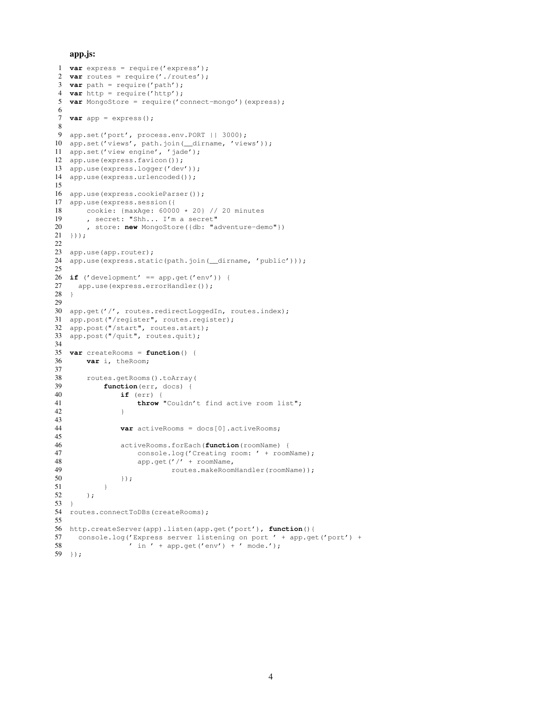#### app.js:

```
1 var express = require('express');
2 var routes = require('./routes');
3 var path = require('path');
 4 var http = require('http');
5 var MongoStore = require('connect-mongo')(express);
6
7 var app = express();
8
 9 app.set('port', process.env.PORT | | 3000);
10 app.set('views', path.join(__dirname, 'views'));
11 app.set('view engine', 'jade');
12 app.use(express.favicon());
13 app.use(express.logger('dev'));
14 app.use(express.urlencoded());
15
16 app.use(express.cookieParser());
17 app.use(express.session({
18 cookie: \{\text{maxAge: } 60000 \times 20\} // 20 minutes<br>19 secret: "Shh... I'm a secret"
       , secret: "Shh... I'm a secret"
20 , store: new MongoStore({db: "adventure-demo"})
21 \quad \});
22
23 app.use(app.router);
24 app.use(express.static(path.join(__dirname, 'public')));
25
26 if ('development' == app.get('env')) {
27 app.use(express.errorHandler());
28 }
29
30 app.get('/', routes.redirectLoggedIn, routes.index);
31 app.post("/register", routes.register);
32 app.post("/start", routes.start);
33 app.post("/quit", routes.quit);
34
35 var createRooms = function() {
36 var i, theRoom;
37
38 routes.getRooms().toArray(<br>39 function (err, docs) {
            function (err, docs) {
40 if (err) {
41 throw "Couldn't find active room list";<br>42
42 }
43
44 var activeRooms = docs[0].activeRooms;
45
46 activeRooms.forEach(function(roomName) {<br>47 console.log('Creating room: ' + room
                    console.log('Creating room: ' + roomName);
48 app.get('/' + roomName,
49 routes.makeRoomHandler(roomName));
50 \{\} ;
\begin{array}{cc} 51 & & & \rightarrow \\ 52 & & & \rightarrow \end{array});
53 }
54 routes.connectToDBs(createRooms);
55
56 http.createServer(app).listen(app.get('port'), function(){
57 console.log('Express server listening on port ' + app.get('port') + 58 \cdot ' in ' + app.get('env') + ' mode.'):
                  ' in ' + app.get('env') + ' mode.');
59 });
```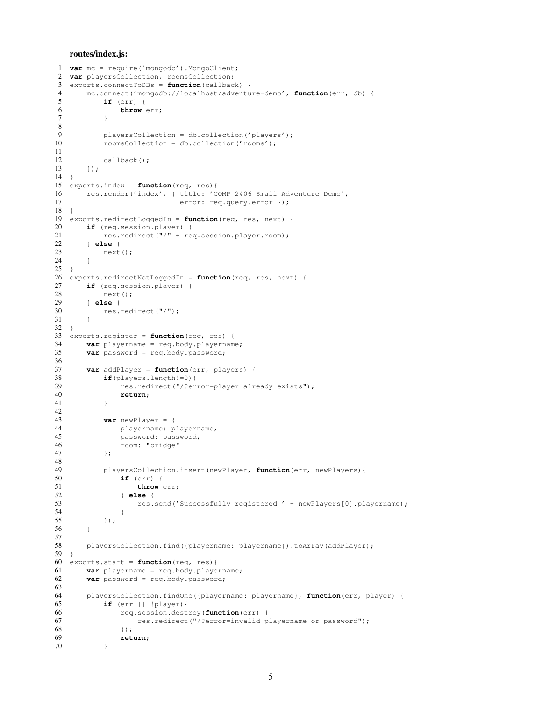#### routes/index.js:

```
1 var mc = require('mongodb').MongoClient;
2 var playersCollection, roomsCollection;
3 exports.connectToDBs = function(callback) {
4 mc.connect('mongodb://localhost/adventure-demo', function(err, db) {
          if (err) {
6 throw err;
7 }
8
9 playersCollection = db.collection('players');<br>10 roomsCollection = db.collection('rooms');
          roomsCollection = db.collection('rooms');
11
12 callback();
13 });
14 }
15 exports.index = function(req, res){
16 res.render('index', { title: 'COMP 2406 Small Adventure Demo',
17 error: req.query.error });
18 }
19 exports.redirectLoggedIn = function(req, res, next) {
20 if (req.session.player) {
21 res.redirect("/" + req.session.player.room);
22 } else {
           next();
24 }
25 }
26 exports.redirectNotLoggedIn = function(req, res, next) {
27 if (req.session.player) {
28 next();<br>29 \rightarrow else {
       29 } else {
30 res.redirect("/");
31 }
32 }
33 exports.register = function(req, res) {
34 var playername = req.body.playername;
35 var password = req.body.password;
\frac{36}{37}37 var addPlayer = function(err, players) {
38 if(players.length!=0){<br>39 res.redirect("/?er
              res.redirect("/?error=player already exists");
40 return;
41 }
42
43 var newPlayer = {
44 playername: playername,<br>45 password: password,
              password: password,
46 room: "bridge"<br>47 };
           47 };
48
49 playersCollection.insert(newPlayer, function(err, newPlayers){
50 if (err) {
51 throw err;<br>52 else {
               52 } else {
53 res.send('Successfully registered ' + newPlayers[0].playername);
\frac{54}{55}55 });
56 }
\frac{57}{58}58 playersCollection.find({playername: playername}).toArray(addPlayer);
59 }
60 exports.start = function(req, res){
61 var playername = req.body.playername;
62 var password = req.body.password;
63
64 playersCollection.findOne({playername: playername}, function(err, player) {
65 if (err || !player) {<br>66 if req.session.dest
               66 req.session.destroy(function(err) {
67 res.redirect("/?error=invalid playername or password");
68 }):
69 return;
70 }
```